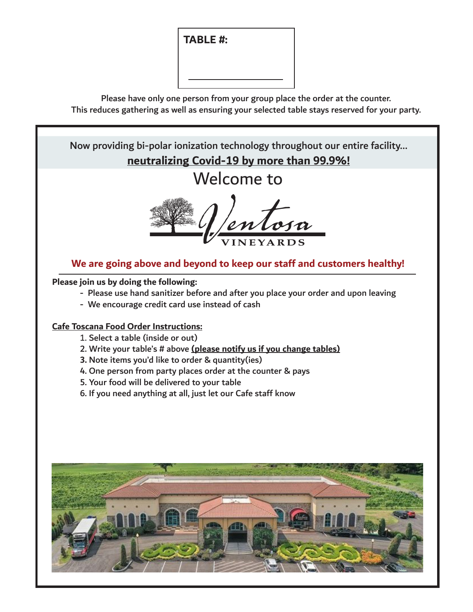**TABLE #:**

Please have only one person from your group place the order at the counter. This reduces gathering as well as ensuring your selected table stays reserved for your party.

Welcome to **We are going above and beyond to keep our staff and customers healthy! Please join us by doing the following:** - Please use hand sanitizer before and after you place your order and upon leaving - We encourage credit card use instead of cash **Cafe Toscana Food Order Instructions:** 1. Select a table (inside or out) 2. Write your table's # above **(please notify us if you change tables) 3.** Note items you'd like to order & quantity(ies) 4. One person from party places order at the counter & pays 5. Your food will be delivered to your table 6. If you need anything at all, just let our Cafe staff know Now providing bi-polar ionization technology throughout our entire facility... **neutralizing Covid-19 by more than 99.9%!**

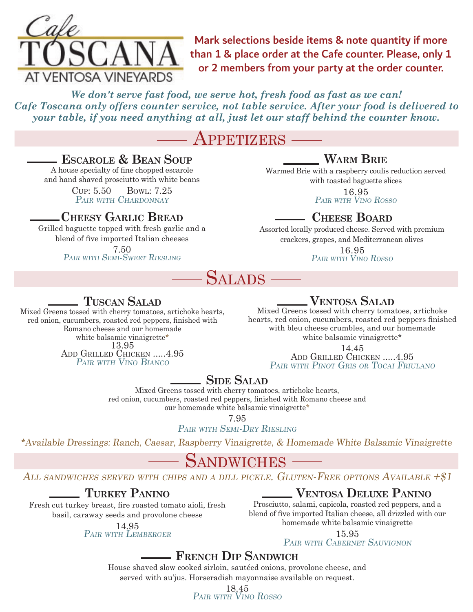

Mark selections beside items & note quantity if more than 1 & place order at the Cafe counter. Please, only 1 or 2 members from your party at the order counter.

*We don't serve fast food, we serve hot, fresh food as fast as we can! Cafe Toscana only offers counter service, not table service. After your food is delivered to your table, if you need anything at all, just let our staff behind the counter know.* 

## PPETIZERS

#### **Escarole & Bean Soup**

A house specialty of fine chopped escarole and hand shaved prosciutto with white beans

> Cup: 5.50 Bowl: 7.25 PAIR WITH CHARDONNAY

#### **Cheesy Garlic Bread**

Grilled baguette topped with fresh garlic and a blend of five imported Italian cheeses 7.50 PAIR WITH SEMI-SWEET RIESLING

### **Warm Brie**

Warmed Brie with a raspberry coulis reduction served with toasted baguette slices

> 16.95 Pair with Vino Rosso

### **Cheese Board**

Assorted locally produced cheese. Served with premium crackers, grapes, and Mediterranean olives

16.95 Pair with Vino Rosso



### **Tuscan Salad**

Mixed Greens tossed with cherry tomatoes, artichoke hearts, red onion, cucumbers, roasted red peppers, finished with Romano cheese and our homemade white balsamic vinaigrette\* 13.95 ADD GRILLED CHICKEN .....4.95 PAIR WITH VINO BIANCO

#### **Ventosa Salad**

Mixed Greens tossed with cherry tomatoes, artichoke hearts, red onion, cucumbers, roasted red peppers finished with bleu cheese crumbles, and our homemade white balsamic vinaigrette\*

> 14.45 ADD GRILLED CHICKEN .....4.95 PAIR WITH PINOT GRIS OR TOCAI FRIULANO

#### **Side Salad**

Mixed Greens tossed with cherry tomatoes, artichoke hearts, red onion, cucumbers, roasted red peppers, finished with Romano cheese and our homemade white balsamic vinaigrette\*

7.95

PAIR WITH SEMI-DRY RIESLING

\*Available Dressings: Ranch, Caesar, Raspberry Vinaigrette, & Homemade White Balsamic Vinaigrette

# **SANDWICHES**

#### ALL SANDWICHES SERVED WITH CHIPS AND A DILL PICKLE. GLUTEN-FREE OPTIONS AVAILABLE  $+\$1$

#### **Turkey Panino**

Fresh cut turkey breast, fire roasted tomato aioli, fresh basil, caraway seeds and provolone cheese

#### 14.95 PAIR WITH LEMBERGER

#### **Ventosa Deluxe Panino**

Prosciutto, salami, capicola, roasted red peppers, and a blend of five imported Italian cheese, all drizzled with our homemade white balsamic vinaigrette

15.95

PAIR WITH CABERNET SAUVIGNON

#### **French Dip Sandwich**

House shaved slow cooked sirloin, sautéed onions, provolone cheese, and served with au'jus. Horseradish mayonnaise available on request.

18.45 Pair with Vino Rosso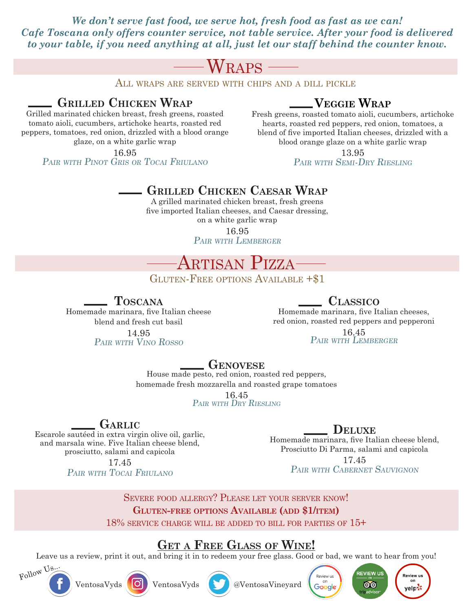*We don't serve fast food, we serve hot, fresh food as fast as we can! Cafe Toscana only offers counter service, not table service. After your food is delivered to your table, if you need anything at all, just let our staff behind the counter know.* 

# $WRAPS -$

All wraps are served with chips and a dill pickle

#### **Grilled Chicken Wrap**

Grilled marinated chicken breast, fresh greens, roasted tomato aioli, cucumbers, artichoke hearts, roasted red peppers, tomatoes, red onion, drizzled with a blood orange glaze, on a white garlic wrap

16.95

PAIR WITH PINOT GRIS OR TOCAI FRIULANO

#### **Veggie Wrap**

Fresh greens, roasted tomato aioli, cucumbers, artichoke hearts, roasted red peppers, red onion, tomatoes, a blend of five imported Italian cheeses, drizzled with a blood orange glaze on a white garlic wrap

> 13.95 PAIR WITH SEMI-DRY RIESLING

#### **Grilled Chicken Caesar Wrap**

A grilled marinated chicken breast, fresh greens five imported Italian cheeses, and Caesar dressing, on a white garlic wrap

16.95 PAIR WITH LEMBERGER

# Artisan Pizza

GLUTEN-FREE OPTIONS AVAILABLE +\$1

**Toscana**

Homemade marinara, five Italian cheese blend and fresh cut basil

> 14.95 Pair with Vino Rosso

#### **Classico**

Homemade marinara, five Italian cheeses, red onion, roasted red peppers and pepperoni

> 16.45 PAIR WITH LEMBERGER

#### **Genovese**

House made pesto, red onion, roasted red peppers, homemade fresh mozzarella and roasted grape tomatoes

> 16.45 PAIR WITH DRY RIESLING

#### **Garlic**

Escarole sautéed in extra virgin olive oil, garlic, and marsala wine. Five Italian cheese blend, prosciutto, salami and capicola

> 17.45 PAIR WITH TOCAI FRIULANO

#### **Deluxe**

Homemade marinara, five Italian cheese blend, Prosciutto Di Parma, salami and capicola

> 17.45 PAIR WITH CABERNET SAUVIGNON

Severe food allergy? Please let your server know! **Gluten-free options Available (add \$1/item)** 18% service charge will be added to bill for parties of 15+

#### **Get a Free Glass of Wine!**

Leave us a review, print it out, and bring it in to redeem your free glass. Good or bad, we want to hear from you!







Google